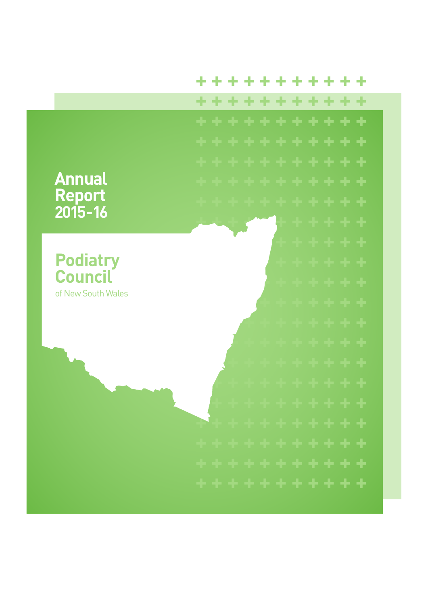#### \*\*\*\*\*\*\*\* ÷

÷

\*\*\*\*\*\*\*\*\*\*

# **Annual** Report  $2015 - 16$

**Podiatry Council** of New South Wales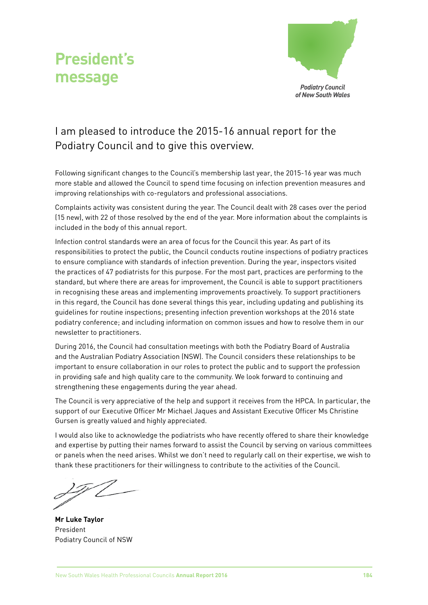



## I am pleased to introduce the 2015-16 annual report for the Podiatry Council and to give this overview.

Following significant changes to the Council's membership last year, the 2015-16 year was much more stable and allowed the Council to spend time focusing on infection prevention measures and improving relationships with co-regulators and professional associations.

Complaints activity was consistent during the year. The Council dealt with 28 cases over the period (15 new), with 22 of those resolved by the end of the year. More information about the complaints is included in the body of this annual report.

Infection control standards were an area of focus for the Council this year. As part of its responsibilities to protect the public, the Council conducts routine inspections of podiatry practices to ensure compliance with standards of infection prevention. During the year, inspectors visited the practices of 47 podiatrists for this purpose. For the most part, practices are performing to the standard, but where there are areas for improvement, the Council is able to support practitioners in recognising these areas and implementing improvements proactively. To support practitioners in this regard, the Council has done several things this year, including updating and publishing its guidelines for routine inspections; presenting infection prevention workshops at the 2016 state podiatry conference; and including information on common issues and how to resolve them in our newsletter to practitioners.

During 2016, the Council had consultation meetings with both the Podiatry Board of Australia and the Australian Podiatry Association (NSW). The Council considers these relationships to be important to ensure collaboration in our roles to protect the public and to support the profession in providing safe and high quality care to the community. We look forward to continuing and strengthening these engagements during the year ahead.

The Council is very appreciative of the help and support it receives from the HPCA. In particular, the support of our Executive Officer Mr Michael Jaques and Assistant Executive Officer Ms Christine Gursen is greatly valued and highly appreciated.

I would also like to acknowledge the podiatrists who have recently offered to share their knowledge and expertise by putting their names forward to assist the Council by serving on various committees or panels when the need arises. Whilst we don't need to regularly call on their expertise, we wish to thank these practitioners for their willingness to contribute to the activities of the Council.

**Mr Luke Taylor** President Podiatry Council of NSW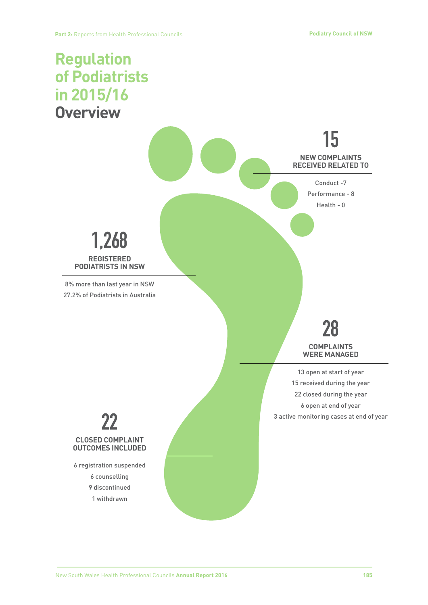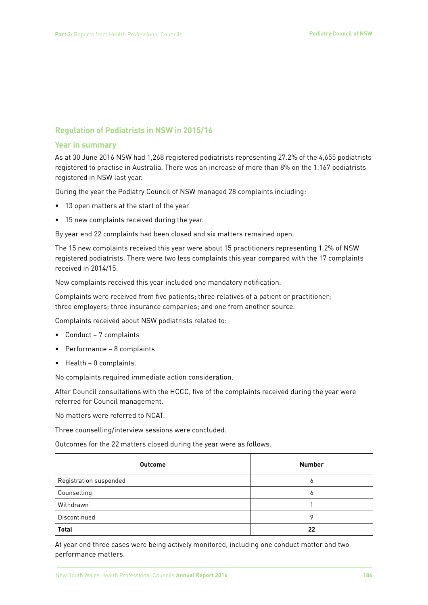#### **Regulation of Podiatrists in NSW in 2015/16**

#### **Year in summary**

As at 30 June 2016 NSW had 1,268 registered podiatrists representing 27.2% of the 4,655 podiatrists registered to practise in Australia. There was an increase of more than 8% on the 1,167 podiatrists registered in NSW last year.

During the year the Podiatry Council of NSW managed 28 complaints including:

- 13 open matters at the start of the year
- 15 new complaints received during the year.

By year end 22 complaints had been closed and six matters remained open.

The 15 new complaints received this year were about 15 practitioners representing 1.2% of NSW registered podiatrists. There were two less complaints this year compared with the 17 complaints received in 2014/15.

New complaints received this year included one mandatory notification.

Complaints were received from five patients; three relatives of a patient or practitioner; three employers; three insurance companies; and one from another source.

Complaints received about NSW podiatrists related to:

- Conduct 7 complaints
- Performance 8 complaints
- Health 0 complaints.

No complaints required immediate action consideration.

After Council consultations with the HCCC, five of the complaints received during the year were referred for Council management.

No matters were referred to NCAT.

Three counselling/interview sessions were concluded.

Outcomes for the 22 matters closed during the year were as follows.

| <b>Outcome</b>         | <b>Number</b> |
|------------------------|---------------|
| Registration suspended | 6             |
| Counselling            | ь             |
| Withdrawn              |               |
| Discontinued           | 9             |
| <b>Total</b>           | 22            |

At year end three cases were being actively monitored, including one conduct matter and two performance matters.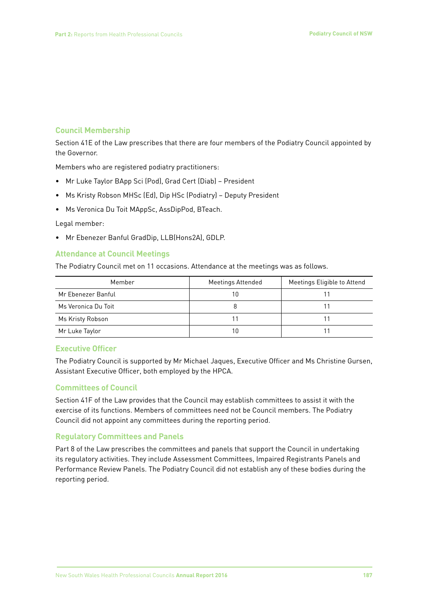### **Council Membership**

Section 41E of the Law prescribes that there are four members of the Podiatry Council appointed by the Governor.

Members who are registered podiatry practitioners:

- Mr Luke Taylor BApp Sci (Pod), Grad Cert (Diab) President
- Ms Kristy Robson MHSc (Ed), Dip HSc (Podiatry) Deputy President
- Ms Veronica Du Toit MAppSc, AssDipPod, BTeach.

#### Legal member:

• Mr Ebenezer Banful GradDip, LLB(Hons2A), GDLP.

#### **Attendance at Council Meetings**

The Podiatry Council met on 11 occasions. Attendance at the meetings was as follows.

| Member              | <b>Meetings Attended</b> | Meetings Eligible to Attend |
|---------------------|--------------------------|-----------------------------|
| Mr Ebenezer Banful  | 10                       |                             |
| Ms Veronica Du Toit |                          |                             |
| Ms Kristy Robson    |                          |                             |
| Mr Luke Taylor      | 10                       |                             |

#### **Executive Officer**

The Podiatry Council is supported by Mr Michael Jaques, Executive Officer and Ms Christine Gursen, Assistant Executive Officer, both employed by the HPCA.

#### **Committees of Council**

Section 41F of the Law provides that the Council may establish committees to assist it with the exercise of its functions. Members of committees need not be Council members. The Podiatry Council did not appoint any committees during the reporting period.

#### **Regulatory Committees and Panels**

Part 8 of the Law prescribes the committees and panels that support the Council in undertaking its regulatory activities. They include Assessment Committees, Impaired Registrants Panels and Performance Review Panels. The Podiatry Council did not establish any of these bodies during the reporting period.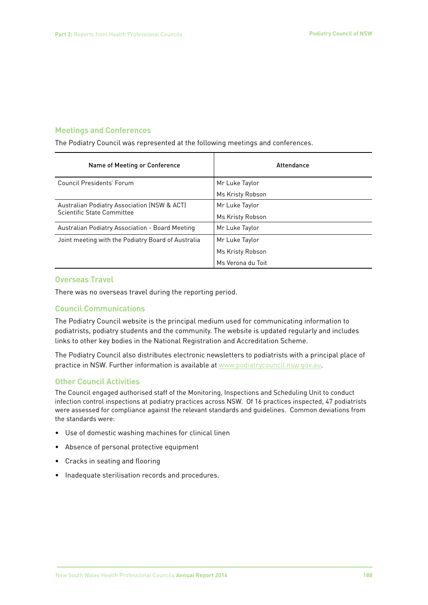#### **Meetings and Conferences**

The Podiatry Council was represented at the following meetings and conferences.

| Name of Meeting or Conference                                             | Attendance        |
|---------------------------------------------------------------------------|-------------------|
| Council Presidents' Forum                                                 | Mr Luke Taylor    |
|                                                                           | Ms Kristy Robson  |
| Australian Podiatry Association (NSW & ACT)<br>Scientific State Committee | Mr Luke Taylor    |
|                                                                           | Ms Kristy Robson  |
| Australian Podiatry Association - Board Meeting                           | Mr Luke Taylor    |
| Joint meeting with the Podiatry Board of Australia                        | Mr Luke Taylor    |
|                                                                           | Ms Kristy Robson  |
|                                                                           | Ms Verona du Toit |

#### **Overseas Travel**

There was no overseas travel during the reporting period.

#### **Council Communications**

The Podiatry Council website is the principal medium used for communicating information to podiatrists, podiatry students and the community. The website is updated regularly and includes links to other key bodies in the National Registration and Accreditation Scheme.

The Podiatry Council also distributes electronic newsletters to podiatrists with a principal place of practice in NSW. Further information is available at www.podiatrycouncil.nsw.gov.au.

#### **Other Council Activities**

The Council engaged authorised staff of the Monitoring, Inspections and Scheduling Unit to conduct infection control inspections at podiatry practices across NSW. Of 16 practices inspected, 47 podiatrists were assessed for compliance against the relevant standards and guidelines. Common deviations from the standards were:

- Use of domestic washing machines for clinical linen
- Absence of personal protective equipment
- Cracks in seating and flooring
- Inadequate sterilisation records and procedures.